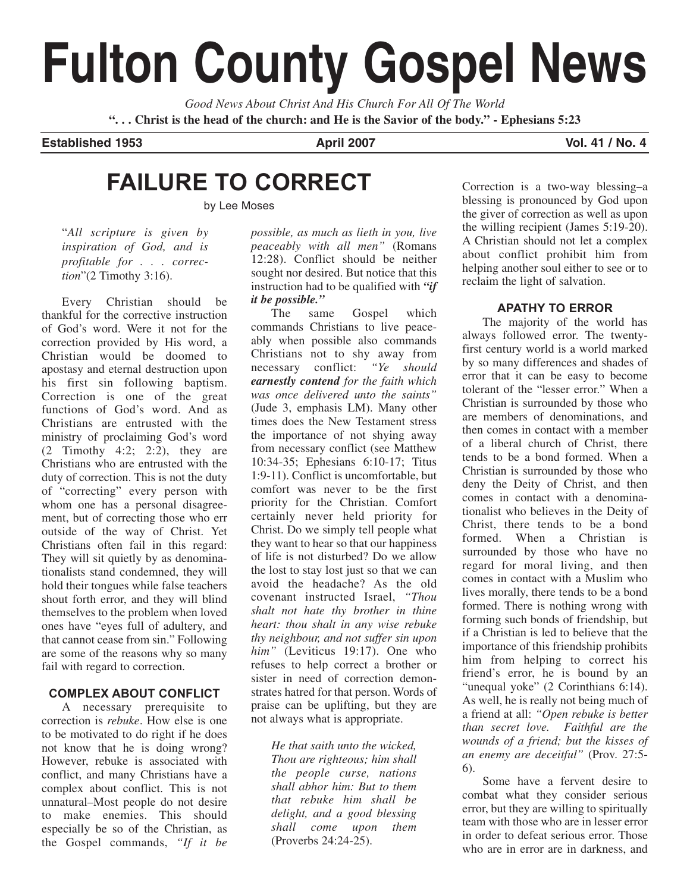# **Fulton County Gospel News**

*Good News About Christ And His Church For All Of The World* **". . . Christ is the head of the church: and He is the Savior of the body." - Ephesians 5:23**

## **Established 1953 April 2007 Vol. 41 / No. 4 Vol. 41 / No. 4**

# **FAILURE TO CORRECT**

by Lee Moses

"*All scripture is given by inspiration of God, and is profitable for . . . correction*"(2 Timothy 3:16).

Every Christian should be thankful for the corrective instruction of God's word. Were it not for the correction provided by His word, a Christian would be doomed to apostasy and eternal destruction upon his first sin following baptism. Correction is one of the great functions of God's word. And as Christians are entrusted with the ministry of proclaiming God's word (2 Timothy 4:2; 2:2), they are Christians who are entrusted with the duty of correction. This is not the duty of "correcting" every person with whom one has a personal disagreement, but of correcting those who err outside of the way of Christ. Yet Christians often fail in this regard: They will sit quietly by as denominationalists stand condemned, they will hold their tongues while false teachers shout forth error, and they will blind themselves to the problem when loved ones have "eyes full of adultery, and that cannot cease from sin." Following are some of the reasons why so many fail with regard to correction.

## **COMPLEX ABOUT CONFLICT**

A necessary prerequisite to correction is *rebuke*. How else is one to be motivated to do right if he does not know that he is doing wrong? However, rebuke is associated with conflict, and many Christians have a complex about conflict. This is not unnatural–Most people do not desire to make enemies. This should especially be so of the Christian, as the Gospel commands, *"If it be*

*possible, as much as lieth in you, live peaceably with all men"* (Romans 12:28). Conflict should be neither sought nor desired. But notice that this instruction had to be qualified with *"if it be possible."*

The same Gospel which commands Christians to live peaceably when possible also commands Christians not to shy away from necessary conflict: *"Ye should earnestly contend for the faith which was once delivered unto the saints"* (Jude 3, emphasis LM). Many other times does the New Testament stress the importance of not shying away from necessary conflict (see Matthew 10:34-35; Ephesians 6:10-17; Titus 1:9-11). Conflict is uncomfortable, but comfort was never to be the first priority for the Christian. Comfort certainly never held priority for Christ. Do we simply tell people what they want to hear so that our happiness of life is not disturbed? Do we allow the lost to stay lost just so that we can avoid the headache? As the old covenant instructed Israel, *"Thou shalt not hate thy brother in thine heart: thou shalt in any wise rebuke thy neighbour, and not suffer sin upon him"* (Leviticus 19:17). One who refuses to help correct a brother or sister in need of correction demonstrates hatred for that person. Words of praise can be uplifting, but they are not always what is appropriate.

*He that saith unto the wicked, Thou are righteous; him shall the people curse, nations shall abhor him: But to them that rebuke him shall be delight, and a good blessing shall come upon them* (Proverbs 24:24-25).

Correction is a two-way blessing–a blessing is pronounced by God upon the giver of correction as well as upon the willing recipient (James 5:19-20). A Christian should not let a complex about conflict prohibit him from helping another soul either to see or to reclaim the light of salvation.

#### **APATHY TO ERROR**

The majority of the world has always followed error. The twentyfirst century world is a world marked by so many differences and shades of error that it can be easy to become tolerant of the "lesser error." When a Christian is surrounded by those who are members of denominations, and then comes in contact with a member of a liberal church of Christ, there tends to be a bond formed. When a Christian is surrounded by those who deny the Deity of Christ, and then comes in contact with a denominationalist who believes in the Deity of Christ, there tends to be a bond formed. When a Christian is surrounded by those who have no regard for moral living, and then comes in contact with a Muslim who lives morally, there tends to be a bond formed. There is nothing wrong with forming such bonds of friendship, but if a Christian is led to believe that the importance of this friendship prohibits him from helping to correct his friend's error, he is bound by an "unequal yoke" (2 Corinthians 6:14). As well, he is really not being much of a friend at all: *"Open rebuke is better than secret love. Faithful are the wounds of a friend; but the kisses of an enemy are deceitful"* (Prov. 27:5- 6).

Some have a fervent desire to combat what they consider serious error, but they are willing to spiritually team with those who are in lesser error in order to defeat serious error. Those who are in error are in darkness, and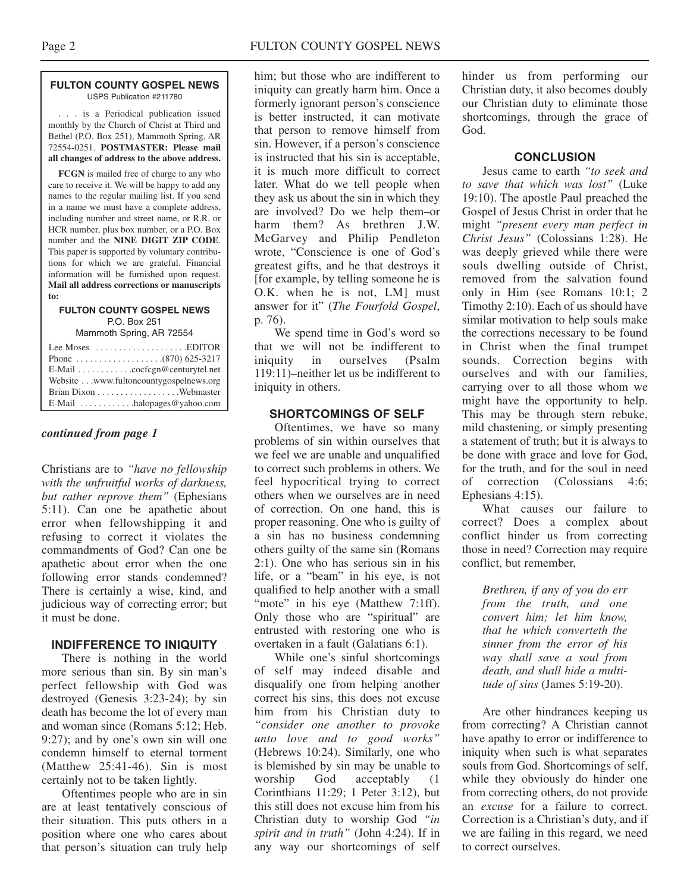#### **FULTON COUNTY GOSPEL NEWS** USPS Publication #211780

. . . is a Periodical publication issued monthly by the Church of Christ at Third and Bethel (P.O. Box 251), Mammoth Spring, AR 72554-0251. **POSTMASTER: Please mail all changes of address to the above address.**

**FCGN** is mailed free of charge to any who care to receive it. We will be happy to add any names to the regular mailing list. If you send in a name we must have a complete address, including number and street name, or R.R. or HCR number, plus box number, or a P.O. Box number and the **NINE DIGIT ZIP CODE**. This paper is supported by voluntary contributions for which we are grateful. Financial information will be furnished upon request. **Mail all address corrections or manuscripts to:**

#### **FULTON COUNTY GOSPEL NEWS** P.O. Box 251

Mammoth Spring, AR 72554

| Lee Moses $\dots\dots\dots\dots\dots\dots$ . EDITOR       |
|-----------------------------------------------------------|
|                                                           |
| $E$ -Mail $\ldots \ldots \ldots$ . cocfcgn@centurytel.net |
| Website www.fultoncountygospelnews.org                    |
|                                                           |
|                                                           |

#### *continued from page 1*

Christians are to *"have no fellowship with the unfruitful works of darkness, but rather reprove them"* (Ephesians 5:11). Can one be apathetic about error when fellowshipping it and refusing to correct it violates the commandments of God? Can one be apathetic about error when the one following error stands condemned? There is certainly a wise, kind, and judicious way of correcting error; but it must be done.

#### **INDIFFERENCE TO INIQUITY**

There is nothing in the world more serious than sin. By sin man's perfect fellowship with God was destroyed (Genesis 3:23-24); by sin death has become the lot of every man and woman since (Romans 5:12; Heb. 9:27); and by one's own sin will one condemn himself to eternal torment (Matthew 25:41-46). Sin is most certainly not to be taken lightly.

Oftentimes people who are in sin are at least tentatively conscious of their situation. This puts others in a position where one who cares about that person's situation can truly help

him; but those who are indifferent to iniquity can greatly harm him. Once a formerly ignorant person's conscience is better instructed, it can motivate that person to remove himself from sin. However, if a person's conscience is instructed that his sin is acceptable, it is much more difficult to correct later. What do we tell people when they ask us about the sin in which they are involved? Do we help them–or harm them? As brethren J.W. McGarvey and Philip Pendleton wrote, "Conscience is one of God's greatest gifts, and he that destroys it [for example, by telling someone he is O.K. when he is not, LM] must answer for it" (*The Fourfold Gospel*, p. 76).

We spend time in God's word so that we will not be indifferent to iniquity in ourselves (Psalm 119:11)–neither let us be indifferent to iniquity in others.

#### **SHORTCOMINGS OF SELF**

Oftentimes, we have so many problems of sin within ourselves that we feel we are unable and unqualified to correct such problems in others. We feel hypocritical trying to correct others when we ourselves are in need of correction. On one hand, this is proper reasoning. One who is guilty of a sin has no business condemning others guilty of the same sin (Romans 2:1). One who has serious sin in his life, or a "beam" in his eye, is not qualified to help another with a small "mote" in his eye (Matthew 7:1ff). Only those who are "spiritual" are entrusted with restoring one who is overtaken in a fault (Galatians 6:1).

While one's sinful shortcomings of self may indeed disable and disqualify one from helping another correct his sins, this does not excuse him from his Christian duty to *"consider one another to provoke unto love and to good works"* (Hebrews 10:24). Similarly, one who is blemished by sin may be unable to worship God acceptably (1 Corinthians 11:29; 1 Peter 3:12), but this still does not excuse him from his Christian duty to worship God *"in spirit and in truth"* (John 4:24). If in any way our shortcomings of self

hinder us from performing our Christian duty, it also becomes doubly our Christian duty to eliminate those shortcomings, through the grace of God.

#### **CONCLUSION**

Jesus came to earth *"to seek and to save that which was lost"* (Luke 19:10). The apostle Paul preached the Gospel of Jesus Christ in order that he might *"present every man perfect in Christ Jesus"* (Colossians 1:28). He was deeply grieved while there were souls dwelling outside of Christ, removed from the salvation found only in Him (see Romans 10:1; 2 Timothy 2:10). Each of us should have similar motivation to help souls make the corrections necessary to be found in Christ when the final trumpet sounds. Correction begins with ourselves and with our families, carrying over to all those whom we might have the opportunity to help. This may be through stern rebuke, mild chastening, or simply presenting a statement of truth; but it is always to be done with grace and love for God, for the truth, and for the soul in need of correction (Colossians 4:6; Ephesians 4:15).

What causes our failure to correct? Does a complex about conflict hinder us from correcting those in need? Correction may require conflict, but remember,

*Brethren, if any of you do err from the truth, and one convert him; let him know, that he which converteth the sinner from the error of his way shall save a soul from death, and shall hide a multitude of sins* (James 5:19-20).

Are other hindrances keeping us from correcting? A Christian cannot have apathy to error or indifference to iniquity when such is what separates souls from God. Shortcomings of self, while they obviously do hinder one from correcting others, do not provide an *excuse* for a failure to correct. Correction is a Christian's duty, and if we are failing in this regard, we need to correct ourselves.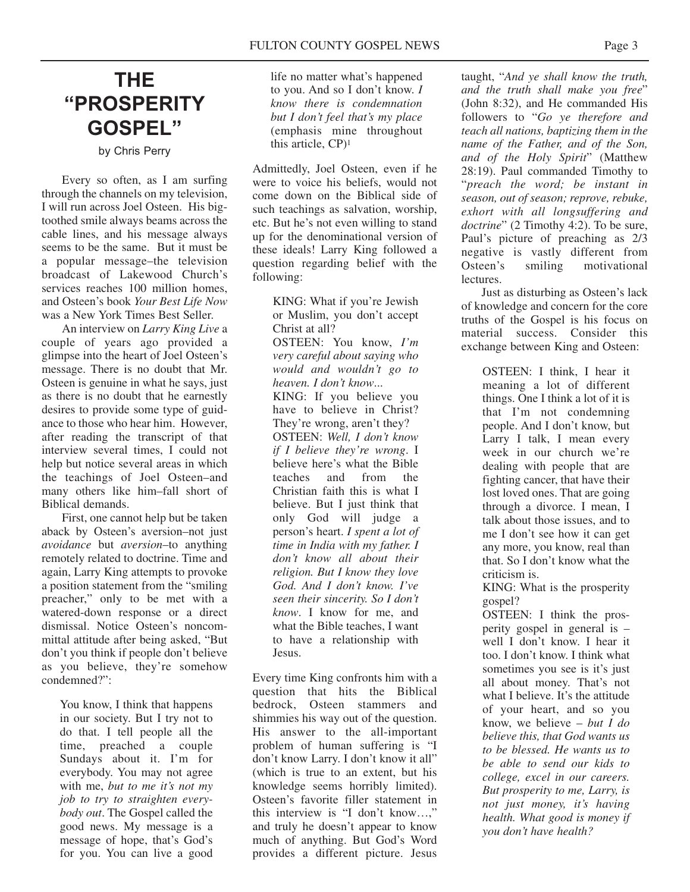# **THE "PROSPERITY GOSPEL"**

by Chris Perry

Every so often, as I am surfing through the channels on my television, I will run across Joel Osteen. His bigtoothed smile always beams across the cable lines, and his message always seems to be the same. But it must be a popular message–the television broadcast of Lakewood Church's services reaches 100 million homes, and Osteen's book *Your Best Life Now* was a New York Times Best Seller.

An interview on *Larry King Live* a couple of years ago provided a glimpse into the heart of Joel Osteen's message. There is no doubt that Mr. Osteen is genuine in what he says, just as there is no doubt that he earnestly desires to provide some type of guidance to those who hear him. However, after reading the transcript of that interview several times, I could not help but notice several areas in which the teachings of Joel Osteen–and many others like him–fall short of Biblical demands.

First, one cannot help but be taken aback by Osteen's aversion–not just *avoidance* but *aversion*–to anything remotely related to doctrine. Time and again, Larry King attempts to provoke a position statement from the "smiling preacher," only to be met with a watered-down response or a direct dismissal. Notice Osteen's noncommittal attitude after being asked, "But don't you think if people don't believe as you believe, they're somehow condemned?":

You know, I think that happens in our society. But I try not to do that. I tell people all the time, preached a couple Sundays about it. I'm for everybody. You may not agree with me, *but to me it's not my job to try to straighten everybody out*. The Gospel called the good news. My message is a message of hope, that's God's for you. You can live a good

life no matter what's happened to you. And so I don't know. *I know there is condemnation but I don't feel that's my place* (emphasis mine throughout this article, CP)1

Admittedly, Joel Osteen, even if he were to voice his beliefs, would not come down on the Biblical side of such teachings as salvation, worship, etc. But he's not even willing to stand up for the denominational version of these ideals! Larry King followed a question regarding belief with the following:

> KING: What if you're Jewish or Muslim, you don't accept Christ at all? OSTEEN: You know, *I'm very careful about saying who would and wouldn't go to heaven. I don't know*... KING: If you believe you have to believe in Christ? They're wrong, aren't they? OSTEEN: *Well, I don't know if I believe they're wrong*. I believe here's what the Bible teaches and from the Christian faith this is what I believe. But I just think that only God will judge a person's heart. *I spent a lot of time in India with my father. I don't know all about their religion. But I know they love God. And I don't know. I've seen their sincerity. So I don't know*. I know for me, and what the Bible teaches, I want to have a relationship with Jesus.

Every time King confronts him with a question that hits the Biblical bedrock, Osteen stammers and shimmies his way out of the question. His answer to the all-important problem of human suffering is "I don't know Larry. I don't know it all" (which is true to an extent, but his knowledge seems horribly limited). Osteen's favorite filler statement in this interview is "I don't know…," and truly he doesn't appear to know much of anything. But God's Word provides a different picture. Jesus

taught, "*And ye shall know the truth, and the truth shall make you free*" (John 8:32), and He commanded His followers to "*Go ye therefore and teach all nations, baptizing them in the name of the Father, and of the Son, and of the Holy Spirit*" (Matthew 28:19). Paul commanded Timothy to "*preach the word; be instant in season, out of season; reprove, rebuke, exhort with all longsuffering and doctrine*" (2 Timothy 4:2). To be sure, Paul's picture of preaching as 2/3 negative is vastly different from Osteen's smiling motivational lectures.

Just as disturbing as Osteen's lack of knowledge and concern for the core truths of the Gospel is his focus on material success. Consider this exchange between King and Osteen:

> OSTEEN: I think, I hear it meaning a lot of different things. One I think a lot of it is that I'm not condemning people. And I don't know, but Larry I talk, I mean every week in our church we're dealing with people that are fighting cancer, that have their lost loved ones. That are going through a divorce. I mean, I talk about those issues, and to me I don't see how it can get any more, you know, real than that. So I don't know what the criticism is.

KING: What is the prosperity gospel?

OSTEEN: I think the prosperity gospel in general is – well I don't know. I hear it too. I don't know. I think what sometimes you see is it's just all about money. That's not what I believe. It's the attitude of your heart, and so you know, we believe – *but I do believe this, that God wants us to be blessed. He wants us to be able to send our kids to college, excel in our careers. But prosperity to me, Larry, is not just money, it's having health. What good is money if you don't have health?*